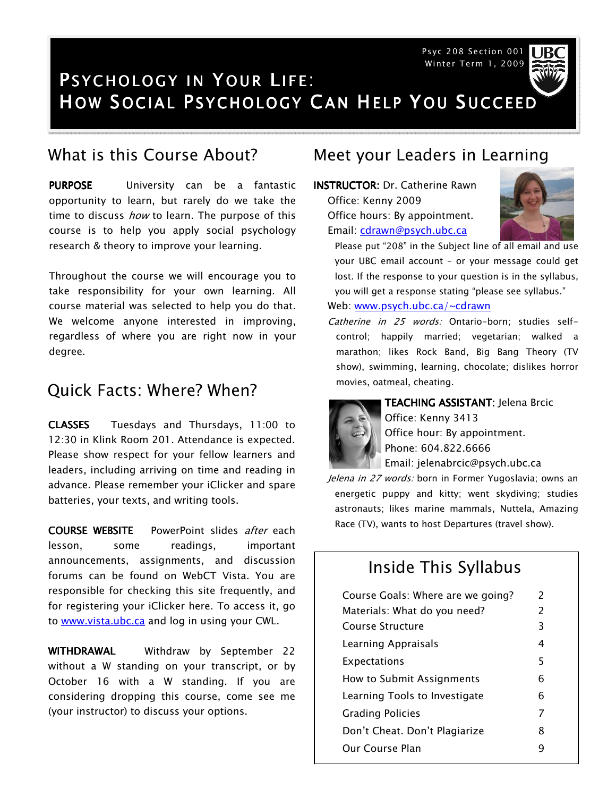Psyc 208 Section 001 Winter Term 1, 2009



# PSYCHOLOGY IN YOUR LIFE: HOW SOCIAL PSYCHOLOGY CAN HELP YOU SUCCEED

PURPOSE University can be a fantastic opportunity to learn, but rarely do we take the time to discuss *how* to learn. The purpose of this course is to help you apply social psychology research & theory to improve your learning.

Throughout the course we will encourage you to take responsibility for your own learning. All course material was selected to help you do that. We welcome anyone interested in improving, regardless of where you are right now in your degree.

#### Quick Facts: Where? When?

CLASSES Tuesdays and Thursdays, 11:00 to 12:30 in Klink Room 201. Attendance is expected. Please show respect for your fellow learners and leaders, including arriving on time and reading in advance. Please remember your iClicker and spare batteries, your texts, and writing tools.

**COURSE WEBSITE** PowerPoint slides after each lesson, some readings, important announcements, assignments, and discussion forums can be found on WebCT Vista. You are responsible for checking this site frequently, and for registering your iClicker here. To access it, go to www.vista.ubc.ca and log in using your CWL.

WITHDRAWAL Withdraw by September 22 without a W standing on your transcript, or by October 16 with a W standing. If you are considering dropping this course, come see me (your instructor) to discuss your options.

#### What is this Course About? Meet your Leaders in Learning

INSTRUCTOR: Dr. Catherine Rawn Office: Kenny 2009 Office hours: By appointment. Email: cdrawn@psych.ubc.ca



Please put "208" in the Subject line of all email and use your UBC email account – or your message could get lost. If the response to your question is in the syllabus, you will get a response stating "please see syllabus."

#### Web: www.psych.ubc.ca/~cdrawn

Catherine in 25 words: Ontario-born; studies selfcontrol; happily married; vegetarian; walked a marathon; likes Rock Band, Big Bang Theory (TV show), swimming, learning, chocolate; dislikes horror movies, oatmeal, cheating.



TEACHING ASSISTANT: Jelena Brcic Office: Kenny 3413 Office hour: By appointment. Phone: 604.822.6666 Email: jelenabrcic@psych.ubc.ca

Jelena in 27 words: born in Former Yugoslavia; owns an energetic puppy and kitty; went skydiving; studies astronauts; likes marine mammals, Nuttela, Amazing Race (TV), wants to host Departures (travel show).

#### Inside This Syllabus

| Course Goals: Where are we going? | $\mathcal{P}$            |
|-----------------------------------|--------------------------|
| Materials: What do you need?      | $\overline{\phantom{a}}$ |
| Course Structure                  | 3                        |
| Learning Appraisals               | 4                        |
| Expectations                      | 5                        |
| How to Submit Assignments         | 6                        |
| Learning Tools to Investigate     | 6                        |
| <b>Grading Policies</b>           | 7                        |
| Don't Cheat. Don't Plagiarize     | 8                        |
| Our Course Plan                   | q                        |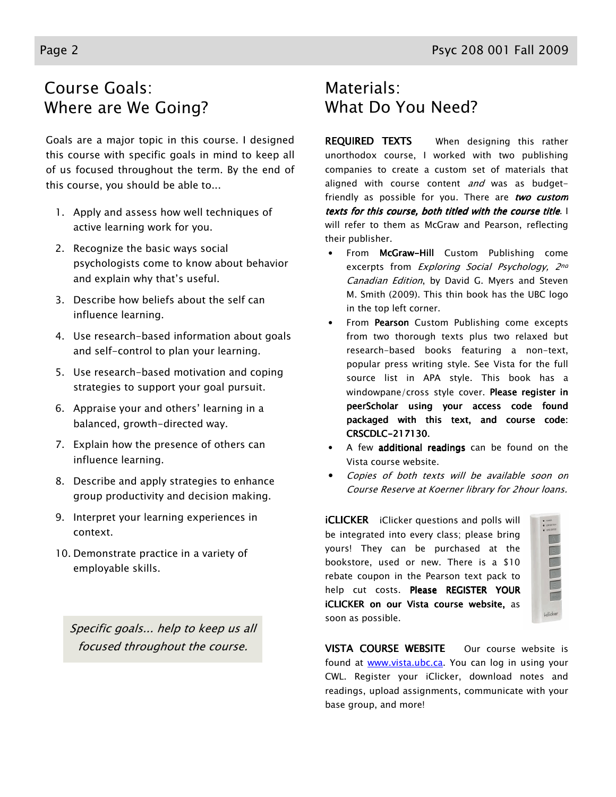## Course Goals: Where are We Going?

Goals are a major topic in this course. I designed this course with specific goals in mind to keep all of us focused throughout the term. By the end of this course, you should be able to...

- 1. Apply and assess how well techniques of active learning work for you.
- 2. Recognize the basic ways social psychologists come to know about behavior and explain why that's useful.
- 3. Describe how beliefs about the self can influence learning.
- 4. Use research-based information about goals and self-control to plan your learning.
- 5. Use research-based motivation and coping strategies to support your goal pursuit.
- 6. Appraise your and others' learning in a balanced, growth-directed way.
- 7. Explain how the presence of others can influence learning.
- 8. Describe and apply strategies to enhance group productivity and decision making.
- 9. Interpret your learning experiences in context.
- 10. Demonstrate practice in a variety of employable skills.

Specific goals... help to keep us all focused throughout the course.

## Materials: What Do You Need?

**REQUIRED TEXTS** When designing this rather unorthodox course, I worked with two publishing companies to create a custom set of materials that aligned with course content and was as budgetfriendly as possible for you. There are two custom texts for this course, both titled with the course title. I will refer to them as McGraw and Pearson, reflecting their publisher.

- From McGraw-Hill Custom Publishing come excerpts from *Exploring Social Psychology*, 2nd Canadian Edition, by David G. Myers and Steven M. Smith (2009). This thin book has the UBC logo in the top left corner.
- From Pearson Custom Publishing come excepts from two thorough texts plus two relaxed but research-based books featuring a non-text, popular press writing style. See Vista for the full source list in APA style. This book has a windowpane/cross style cover. Please register in peerScholar using your access code found packaged with this text, and course code: CRSCDLC-217130.
- A few additional readings can be found on the Vista course website.
- Copies of both texts will be available soon on Course Reserve at Koerner library for 2hour loans.

**iCLICKER** iClicker questions and polls will be integrated into every class; please bring yours! They can be purchased at the bookstore, used or new. There is a \$10 rebate coupon in the Pearson text pack to help cut costs. Please REGISTER YOUR iCLICKER on our Vista course website, as soon as possible.

| ٠<br>٠   |
|----------|
|          |
|          |
|          |
|          |
|          |
|          |
|          |
|          |
|          |
|          |
| iclicker |

VISTA COURSE WEBSITE Our course website is found at **www.vista.ubc.ca**. You can log in using your CWL. Register your iClicker, download notes and readings, upload assignments, communicate with your base group, and more!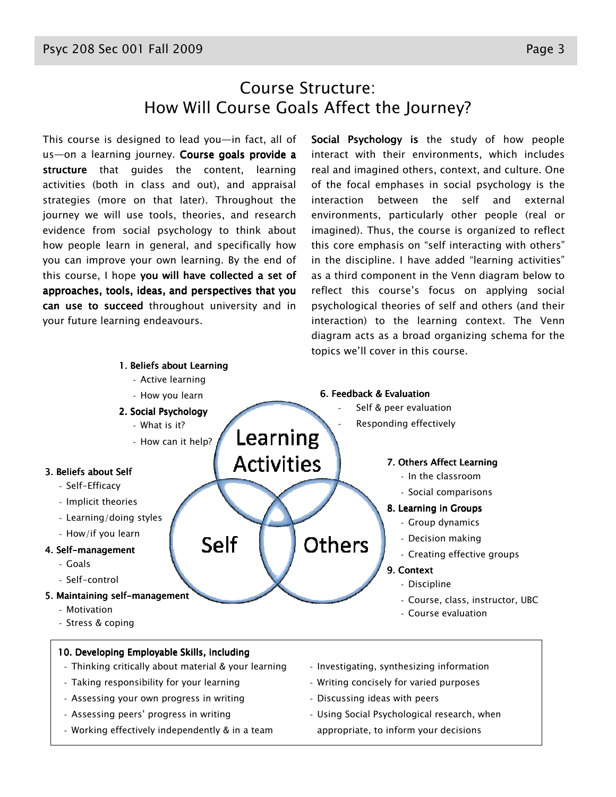This course is designed to lead you—in fact, all of us—on a learning journey. Course goals provide a structure that guides the content, learning activities (both in class and out), and appraisal strategies (more on that later). Throughout the journey we will use tools, theories, and research evidence from social psychology to think about how people learn in general, and specifically how you can improve your own learning. By the end of this course, I hope you will have collected a set of approaches, tools, ideas, and perspectives that you can use to succeed throughout university and in your future learning endeavours.

Social Psychology is the study of how people interact with their environments, which includes real and imagined others, context, and culture. One of the focal emphases in social psychology is the interaction between the self and external environments, particularly other people (real or imagined). Thus, the course is organized to reflect this core emphasis on "self interacting with others" in the discipline. I have added "learning activities" as a third component in the Venn diagram below to reflect this course's focus on applying social psychological theories of self and others (and their interaction) to the learning context. The Venn diagram acts as a broad organizing schema for the topics we'll cover in this course.

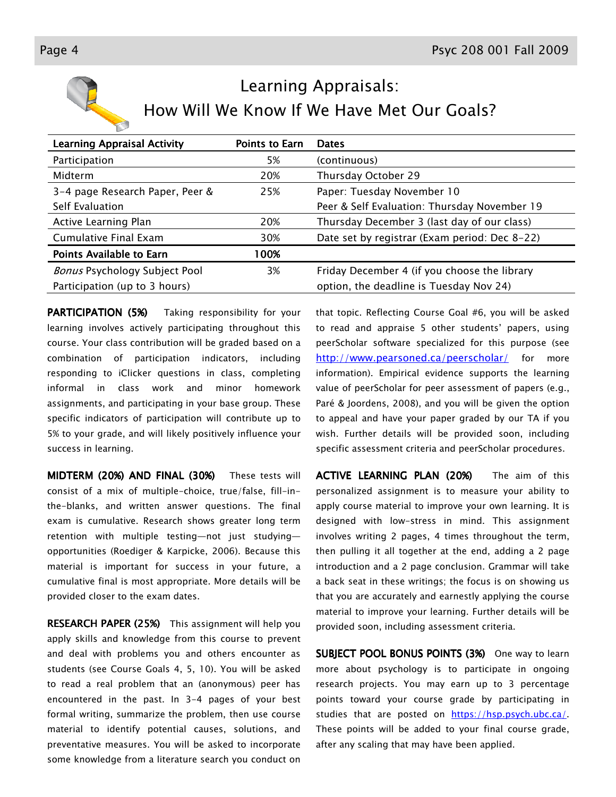

# Learning Appraisals: How Will We Know If We Have Met Our Goals?

| <b>Learning Appraisal Activity</b>   | <b>Points to Earn</b> | <b>Dates</b>                                  |
|--------------------------------------|-----------------------|-----------------------------------------------|
| Participation                        | 5%                    | (continuous)                                  |
| Midterm                              | 20%                   | Thursday October 29                           |
| 3-4 page Research Paper, Peer &      | 25%                   | Paper: Tuesday November 10                    |
| Self Evaluation                      |                       | Peer & Self Evaluation: Thursday November 19  |
| Active Learning Plan                 | 20%                   | Thursday December 3 (last day of our class)   |
| Cumulative Final Exam                | 30%                   | Date set by registrar (Exam period: Dec 8-22) |
| <b>Points Available to Earn</b>      | 100%                  |                                               |
| <b>Bonus Psychology Subject Pool</b> | 3%                    | Friday December 4 (if you choose the library  |
| Participation (up to 3 hours)        |                       | option, the deadline is Tuesday Nov 24)       |

**PARTICIPATION (5%)** Taking responsibility for your learning involves actively participating throughout this course. Your class contribution will be graded based on a combination of participation indicators, including responding to iClicker questions in class, completing informal in class work and minor homework assignments, and participating in your base group. These specific indicators of participation will contribute up to 5% to your grade, and will likely positively influence your success in learning.

MIDTERM (20%) AND FINAL (30%) These tests will consist of a mix of multiple-choice, true/false, fill-inthe-blanks, and written answer questions. The final exam is cumulative. Research shows greater long term retention with multiple testing—not just studying opportunities (Roediger & Karpicke, 2006). Because this material is important for success in your future, a cumulative final is most appropriate. More details will be provided closer to the exam dates.

**RESEARCH PAPER (25%)** This assignment will help you apply skills and knowledge from this course to prevent and deal with problems you and others encounter as students (see Course Goals 4, 5, 10). You will be asked to read a real problem that an (anonymous) peer has encountered in the past. In 3-4 pages of your best formal writing, summarize the problem, then use course material to identify potential causes, solutions, and preventative measures. You will be asked to incorporate some knowledge from a literature search you conduct on

that topic. Reflecting Course Goal #6, you will be asked to read and appraise 5 other students' papers, using peerScholar software specialized for this purpose (see http://www.pearsoned.ca/peerscholar/ for more information). Empirical evidence supports the learning value of peerScholar for peer assessment of papers (e.g., Paré & Joordens, 2008), and you will be given the option to appeal and have your paper graded by our TA if you wish. Further details will be provided soon, including specific assessment criteria and peerScholar procedures.

ACTIVE LEARNING PLAN (20%) The aim of this personalized assignment is to measure your ability to apply course material to improve your own learning. It is designed with low-stress in mind. This assignment involves writing 2 pages, 4 times throughout the term, then pulling it all together at the end, adding a 2 page introduction and a 2 page conclusion. Grammar will take a back seat in these writings; the focus is on showing us that you are accurately and earnestly applying the course material to improve your learning. Further details will be provided soon, including assessment criteria.

SUBJECT POOL BONUS POINTS (3%) One way to learn more about psychology is to participate in ongoing research projects. You may earn up to 3 percentage points toward your course grade by participating in studies that are posted on https://hsp.psych.ubc.ca/. These points will be added to your final course grade, after any scaling that may have been applied.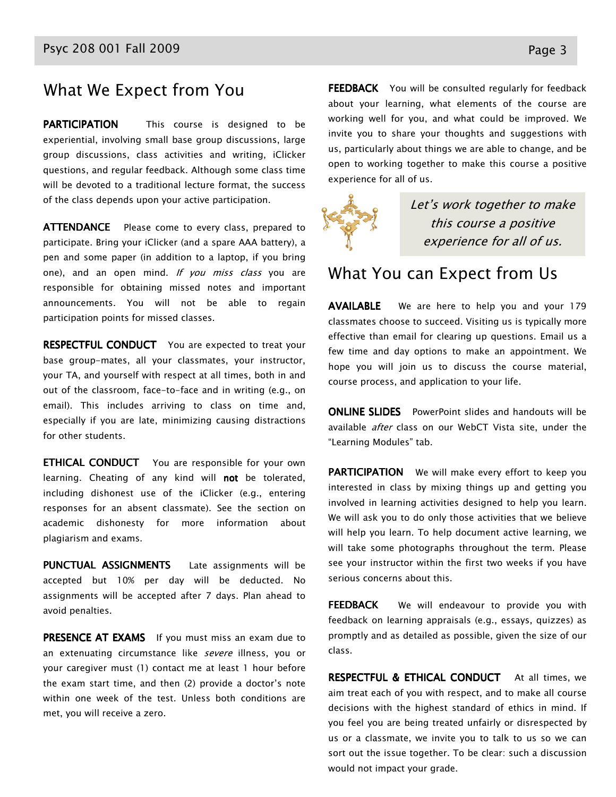#### What We Expect from You

**PARTICIPATION** This course is designed to be experiential, involving small base group discussions, large group discussions, class activities and writing, iClicker questions, and regular feedback. Although some class time will be devoted to a traditional lecture format, the success of the class depends upon your active participation.

ATTENDANCE Please come to every class, prepared to participate. Bring your iClicker (and a spare AAA battery), a pen and some paper (in addition to a laptop, if you bring one), and an open mind. If you miss class you are responsible for obtaining missed notes and important announcements. You will not be able to regain participation points for missed classes.

**RESPECTFUL CONDUCT** You are expected to treat your base group-mates, all your classmates, your instructor, your TA, and yourself with respect at all times, both in and out of the classroom, face-to-face and in writing (e.g., on email). This includes arriving to class on time and, especially if you are late, minimizing causing distractions for other students.

**ETHICAL CONDUCT** You are responsible for your own learning. Cheating of any kind will **not** be tolerated, including dishonest use of the iClicker (e.g., entering responses for an absent classmate). See the section on academic dishonesty for more information about plagiarism and exams.

PUNCTUAL ASSIGNMENTS Late assignments will be accepted but 10% per day will be deducted. No assignments will be accepted after 7 days. Plan ahead to avoid penalties.

PRESENCE AT EXAMS If you must miss an exam due to an extenuating circumstance like severe illness, you or your caregiver must (1) contact me at least 1 hour before the exam start time, and then (2) provide a doctor's note within one week of the test. Unless both conditions are met, you will receive a zero.

FEEDBACK You will be consulted regularly for feedback about your learning, what elements of the course are working well for you, and what could be improved. We invite you to share your thoughts and suggestions with us, particularly about things we are able to change, and be open to working together to make this course a positive experience for all of us.



Let's work together to make this course a positive experience for all of us.

#### What You can Expect from Us

**AVAILABLE** We are here to help you and your 179 classmates choose to succeed. Visiting us is typically more effective than email for clearing up questions. Email us a few time and day options to make an appointment. We hope you will join us to discuss the course material, course process, and application to your life.

**ONLINE SLIDES** PowerPoint slides and handouts will be available after class on our WebCT Vista site, under the "Learning Modules" tab.

PARTICIPATION We will make every effort to keep you interested in class by mixing things up and getting you involved in learning activities designed to help you learn. We will ask you to do only those activities that we believe will help you learn. To help document active learning, we will take some photographs throughout the term. Please see your instructor within the first two weeks if you have serious concerns about this.

FEEDBACK We will endeavour to provide you with feedback on learning appraisals (e.g., essays, quizzes) as promptly and as detailed as possible, given the size of our class.

**RESPECTFUL & ETHICAL CONDUCT** At all times, we aim treat each of you with respect, and to make all course decisions with the highest standard of ethics in mind. If you feel you are being treated unfairly or disrespected by us or a classmate, we invite you to talk to us so we can sort out the issue together. To be clear: such a discussion would not impact your grade.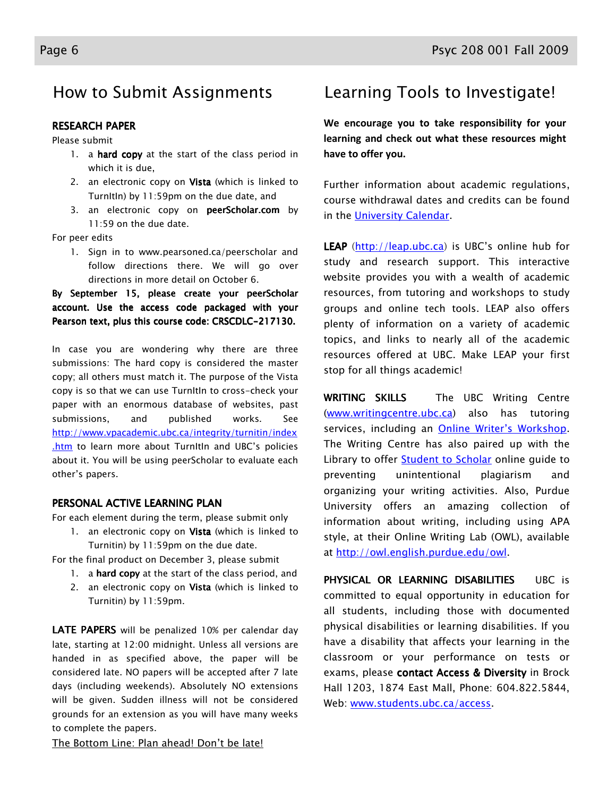### How to Submit Assignments

#### **RESEARCH PAPER**

Please submit

- 1. a hard copy at the start of the class period in which it is due,
- 2. an electronic copy on Vista (which is linked to TurnItIn) by 11:59pm on the due date, and
- 3. an electronic copy on peerScholar.com by 11:59 on the due date.

For peer edits

1. Sign in to www.pearsoned.ca/peerscholar and follow directions there. We will go over directions in more detail on October 6.

By September 15, please create your peerScholar account. Use the access code packaged with your Pearson text, plus this course code: CRSCDLC-217130.

In case you are wondering why there are three submissions: The hard copy is considered the master copy; all others must match it. The purpose of the Vista copy is so that we can use TurnItIn to cross-check your paper with an enormous database of websites, past submissions, and published works. See http://www.vpacademic.ubc.ca/integrity/turnitin/index .htm to learn more about TurnItIn and UBC's policies about it. You will be using peerScholar to evaluate each other's papers.

#### PERSONAL ACTIVE LEARNING PLAN

For each element during the term, please submit only

- 1. an electronic copy on Vista (which is linked to Turnitin) by 11:59pm on the due date.
- For the final product on December 3, please submit
	- 1. a hard copy at the start of the class period, and
	- 2. an electronic copy on Vista (which is linked to Turnitin) by 11:59pm.

LATE PAPERS will be penalized 10% per calendar day late, starting at 12:00 midnight. Unless all versions are handed in as specified above, the paper will be considered late. NO papers will be accepted after 7 late days (including weekends). Absolutely NO extensions will be given. Sudden illness will not be considered grounds for an extension as you will have many weeks to complete the papers.

The Bottom Line: Plan ahead! Don't be late!

### Learning Tools to Investigate!

We encourage you to take responsibility for your learning and check out what these resources might have to offer you.

Further information about academic regulations, course withdrawal dates and credits can be found in the University Calendar.

LEAP (http://leap.ubc.ca) is UBC's online hub for study and research support. This interactive website provides you with a wealth of academic resources, from tutoring and workshops to study groups and online tech tools. LEAP also offers plenty of information on a variety of academic topics, and links to nearly all of the academic resources offered at UBC. Make LEAP your first stop for all things academic!

WRITING SKILLS The UBC Writing Centre (www.writingcentre.ubc.ca) also has tutoring services, including an **Online Writer's Workshop**. The Writing Centre has also paired up with the Library to offer **Student to Scholar** online guide to preventing unintentional plagiarism and organizing your writing activities. Also, Purdue University offers an amazing collection of information about writing, including using APA style, at their Online Writing Lab (OWL), available at http://owl.english.purdue.edu/owl.

PHYSICAL OR LEARNING DISABILITIES UBC is committed to equal opportunity in education for all students, including those with documented physical disabilities or learning disabilities. If you have a disability that affects your learning in the classroom or your performance on tests or exams, please contact Access & Diversity in Brock Hall 1203, 1874 East Mall, Phone: 604.822.5844, Web: www.students.ubc.ca/access.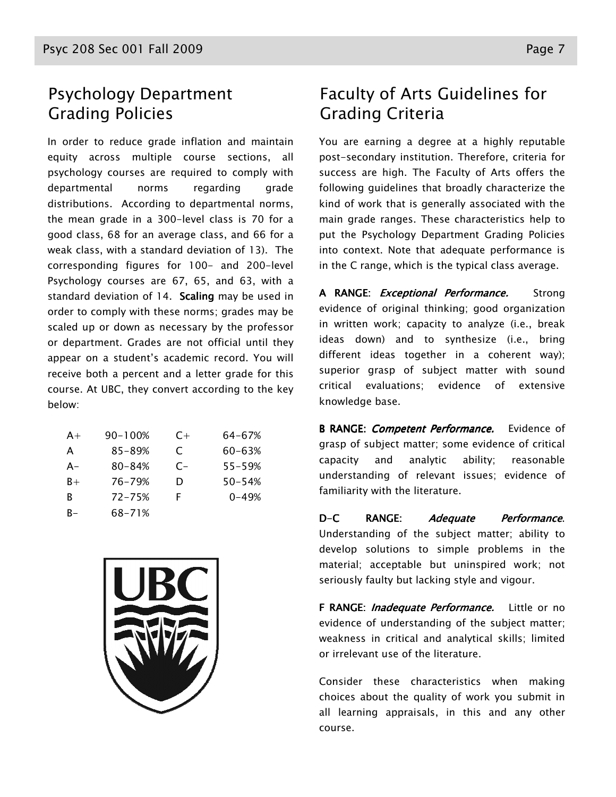#### Psychology Department Grading Policies

In order to reduce grade inflation and maintain equity across multiple course sections, all psychology courses are required to comply with departmental norms regarding grade distributions. According to departmental norms, the mean grade in a 300-level class is 70 for a good class, 68 for an average class, and 66 for a weak class, with a standard deviation of 13). The corresponding figures for 100- and 200-level Psychology courses are 67, 65, and 63, with a standard deviation of 14. Scaling may be used in order to comply with these norms; grades may be scaled up or down as necessary by the professor or department. Grades are not official until they appear on a student's academic record. You will receive both a percent and a letter grade for this course. At UBC, they convert according to the key below:

| $A+$  | 90-100%    | $C+$ | 64-67%     |
|-------|------------|------|------------|
| A     | 85-89%     | C    | 60-63%     |
| $A -$ | $80 - 84%$ | $C-$ | $55 - 59%$ |
| $B+$  | 76-79%     | D    | $50 - 54%$ |
| R     | $72 - 75%$ | F    | $0 - 49%$  |
| R-    | 68-71%     |      |            |



## Faculty of Arts Guidelines for Grading Criteria

You are earning a degree at a highly reputable post-secondary institution. Therefore, criteria for success are high. The Faculty of Arts offers the following guidelines that broadly characterize the kind of work that is generally associated with the main grade ranges. These characteristics help to put the Psychology Department Grading Policies into context. Note that adequate performance is in the C range, which is the typical class average.

A RANGE: *Exceptional Performance*. Strong evidence of original thinking; good organization in written work; capacity to analyze (i.e., break ideas down) and to synthesize (i.e., bring different ideas together in a coherent way); superior grasp of subject matter with sound critical evaluations; evidence of extensive knowledge base.

B RANGE: *Competent Performance*. Evidence of grasp of subject matter; some evidence of critical capacity and analytic ability; reasonable understanding of relevant issues; evidence of familiarity with the literature.

D-C RANGE: Adequate Performance. Understanding of the subject matter; ability to develop solutions to simple problems in the material; acceptable but uninspired work; not seriously faulty but lacking style and vigour.

F RANGE: *Inadequate Performance*. Little or no evidence of understanding of the subject matter; weakness in critical and analytical skills; limited or irrelevant use of the literature.

Consider these characteristics when making choices about the quality of work you submit in all learning appraisals, in this and any other course.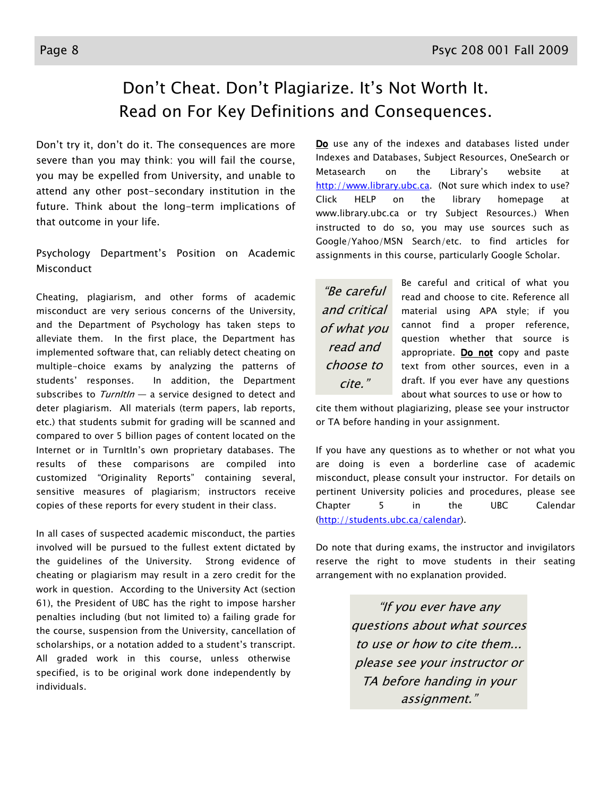#### $\overline{a}$ Don't Cheat. Don't Plagiarize. It's Not Worth It. Read on For Key Definitions and Consequences.

Don't try it, don't do it. The consequences are more severe than you may think: you will fail the course, you may be expelled from University, and unable to attend any other post-secondary institution in the future. Think about the long-term implications of that outcome in your life.

Psychology Department's Position on Academic Misconduct

Cheating, plagiarism, and other forms of academic misconduct are very serious concerns of the University, and the Department of Psychology has taken steps to alleviate them. In the first place, the Department has implemented software that, can reliably detect cheating on multiple-choice exams by analyzing the patterns of students' responses. In addition, the Department subscribes to  $Turnltln - a$  service designed to detect and deter plagiarism. All materials (term papers, lab reports, etc.) that students submit for grading will be scanned and compared to over 5 billion pages of content located on the Internet or in TurnItIn's own proprietary databases. The results of these comparisons are compiled into customized "Originality Reports" containing several, sensitive measures of plagiarism; instructors receive copies of these reports for every student in their class.

In all cases of suspected academic misconduct, the parties involved will be pursued to the fullest extent dictated by the guidelines of the University. Strong evidence of cheating or plagiarism may result in a zero credit for the work in question. According to the University Act (section 61), the President of UBC has the right to impose harsher penalties including (but not limited to) a failing grade for the course, suspension from the University, cancellation of scholarships, or a notation added to a student's transcript. All graded work in this course, unless otherwise specified, is to be original work done independently by individuals.

Do use any of the indexes and databases listed under Indexes and Databases, Subject Resources, OneSearch or Metasearch on the Library's website at http://www.library.ubc.ca. (Not sure which index to use? Click HELP on the library homepage at www.library.ubc.ca or try Subject Resources.) When instructed to do so, you may use sources such as Google/Yahoo/MSN Search/etc. to find articles for assignments in this course, particularly Google Scholar.

"Be careful and critical of what you read and choose to cite."

Be careful and critical of what you read and choose to cite. Reference all material using APA style; if you cannot find a proper reference, question whether that source is appropriate. Do not copy and paste text from other sources, even in a draft. If you ever have any questions about what sources to use or how to

cite them without plagiarizing, please see your instructor or TA before handing in your assignment.

If you have any questions as to whether or not what you are doing is even a borderline case of academic misconduct, please consult your instructor. For details on pertinent University policies and procedures, please see Chapter 5 in the UBC Calendar (http://students.ubc.ca/calendar).

Do note that during exams, the instructor and invigilators reserve the right to move students in their seating arrangement with no explanation provided.

> "If you ever have any questions about what sources to use or how to cite them... please see your instructor or TA before handing in your assignment."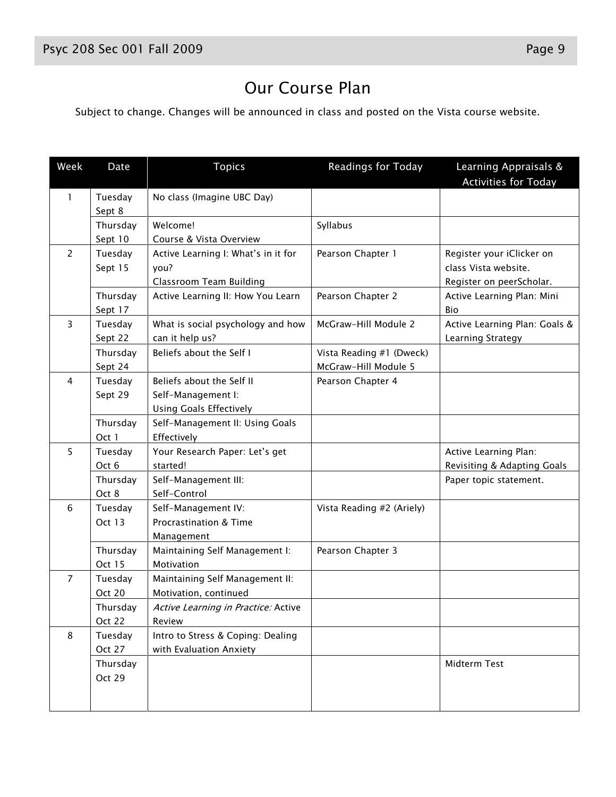Subject to change. Changes will be announced in class and posted on the Vista course website.

| Week           | Date                     | <b>Topics</b>                                                                     | Readings for Today                               | Learning Appraisals &<br><b>Activities for Today</b>                          |
|----------------|--------------------------|-----------------------------------------------------------------------------------|--------------------------------------------------|-------------------------------------------------------------------------------|
| 1              | Tuesday<br>Sept 8        | No class (Imagine UBC Day)                                                        |                                                  |                                                                               |
|                | Thursday<br>Sept 10      | Welcome!<br>Course & Vista Overview                                               | Syllabus                                         |                                                                               |
| $\overline{2}$ | Tuesday<br>Sept 15       | Active Learning I: What's in it for<br>you?<br>Classroom Team Building            | Pearson Chapter 1                                | Register your iClicker on<br>class Vista website.<br>Register on peerScholar. |
|                | Thursday<br>Sept 17      | Active Learning II: How You Learn                                                 | Pearson Chapter 2                                | Active Learning Plan: Mini<br>Bio                                             |
| $\overline{3}$ | Tuesday<br>Sept 22       | What is social psychology and how<br>can it help us?                              | McGraw-Hill Module 2                             | Active Learning Plan: Goals &<br>Learning Strategy                            |
|                | Thursday<br>Sept 24      | Beliefs about the Self I                                                          | Vista Reading #1 (Dweck)<br>McGraw-Hill Module 5 |                                                                               |
| 4              | Tuesday<br>Sept 29       | Beliefs about the Self II<br>Self-Management I:<br><b>Using Goals Effectively</b> | Pearson Chapter 4                                |                                                                               |
|                | Thursday<br>Oct 1        | Self-Management II: Using Goals<br>Effectively                                    |                                                  |                                                                               |
| 5              | Tuesday<br>Oct 6         | Your Research Paper: Let's get<br>started!                                        |                                                  | Active Learning Plan:<br>Revisiting & Adapting Goals                          |
|                | Thursday<br>Oct 8        | Self-Management III:<br>Self-Control                                              |                                                  | Paper topic statement.                                                        |
| 6              | Tuesday<br><b>Oct 13</b> | Self-Management IV:<br>Procrastination & Time<br>Management                       | Vista Reading #2 (Ariely)                        |                                                                               |
|                | Thursday<br>Oct 15       | Maintaining Self Management I:<br>Motivation                                      | Pearson Chapter 3                                |                                                                               |
| $\overline{7}$ | Tuesday<br>Oct 20        | Maintaining Self Management II:<br>Motivation, continued                          |                                                  |                                                                               |
|                | Thursday<br>Oct 22       | Active Learning in Practice: Active<br>Review                                     |                                                  |                                                                               |
| 8              | Tuesday<br>Oct 27        | Intro to Stress & Coping: Dealing<br>with Evaluation Anxiety                      |                                                  |                                                                               |
|                | Thursday<br>Oct 29       |                                                                                   |                                                  | Midterm Test                                                                  |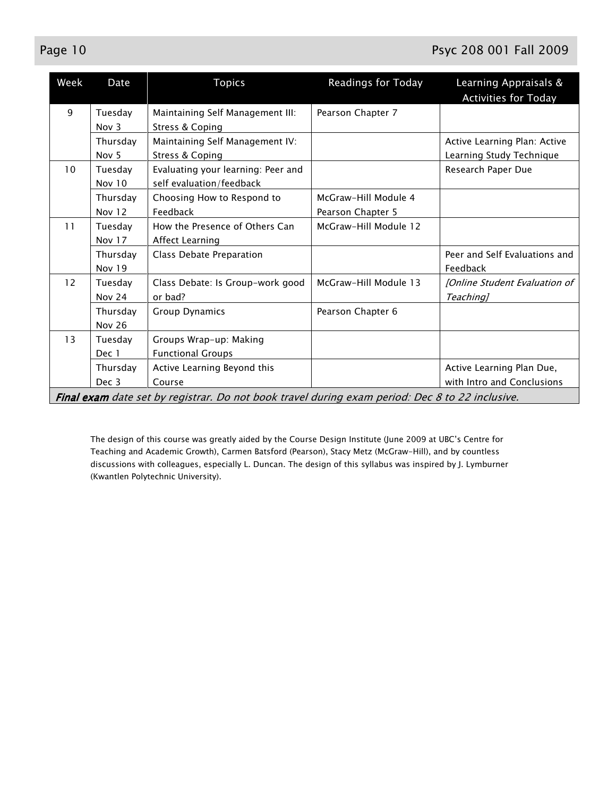#### Page 10 Psyc 208 001 Fall 2009

| Week | Date                         | <b>Topics</b>                                                                                   | Readings for Today                        | Learning Appraisals &<br><b>Activities for Today</b>     |
|------|------------------------------|-------------------------------------------------------------------------------------------------|-------------------------------------------|----------------------------------------------------------|
| 9    | Tuesday<br>Nov $3$           | Maintaining Self Management III:<br>Stress & Coping                                             | Pearson Chapter 7                         |                                                          |
|      | Thursday<br>Nov <sub>5</sub> | Maintaining Self Management IV:<br>Stress & Coping                                              |                                           | Active Learning Plan: Active<br>Learning Study Technique |
| 10   | Tuesday<br>Nov 10            | Evaluating your learning: Peer and<br>self evaluation/feedback                                  |                                           | Research Paper Due                                       |
|      | Thursday<br><b>Nov 12</b>    | Choosing How to Respond to<br>Feedback                                                          | McGraw-Hill Module 4<br>Pearson Chapter 5 |                                                          |
| 11   | Tuesday<br><b>Nov 17</b>     | How the Presence of Others Can<br>Affect Learning                                               | McGraw-Hill Module 12                     |                                                          |
|      | Thursday<br><b>Nov 19</b>    | Class Debate Preparation                                                                        |                                           | Peer and Self Evaluations and<br>Feedback                |
| 12   | Tuesday<br><b>Nov 24</b>     | Class Debate: Is Group-work good<br>or bad?                                                     | McGraw-Hill Module 13                     | [Online Student Evaluation of<br>Teaching]               |
|      | Thursday<br><b>Nov 26</b>    | <b>Group Dynamics</b>                                                                           | Pearson Chapter 6                         |                                                          |
| 13   | Tuesday<br>Dec 1             | Groups Wrap-up: Making<br><b>Functional Groups</b>                                              |                                           |                                                          |
|      | Thursday<br>Dec 3            | Active Learning Beyond this<br>Course                                                           |                                           | Active Learning Plan Due,<br>with Intro and Conclusions  |
|      |                              | Final exam date set by registrar. Do not book travel during exam period: Dec 8 to 22 inclusive. |                                           |                                                          |

The design of this course was greatly aided by the Course Design Institute (June 2009 at UBC's Centre for Teaching and Academic Growth), Carmen Batsford (Pearson), Stacy Metz (McGraw-Hill), and by countless discussions with colleagues, especially L. Duncan. The design of this syllabus was inspired by J. Lymburner (Kwantlen Polytechnic University).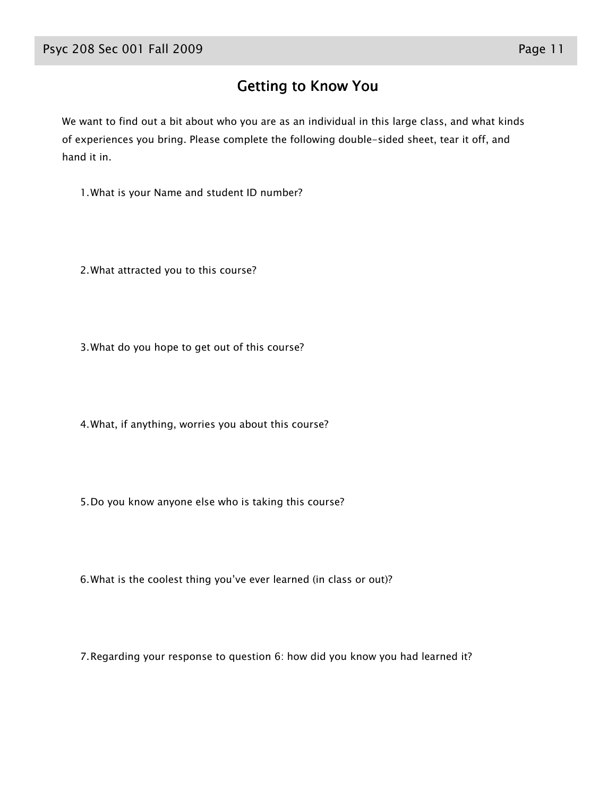#### Getting to Know You

We want to find out a bit about who you are as an individual in this large class, and what kinds of experiences you bring. Please complete the following double-sided sheet, tear it off, and hand it in.

1.What is your Name and student ID number?

2.What attracted you to this course?

3.What do you hope to get out of this course?

4.What, if anything, worries you about this course?

5.Do you know anyone else who is taking this course?

6.What is the coolest thing you've ever learned (in class or out)?

7.Regarding your response to question 6: how did you know you had learned it?